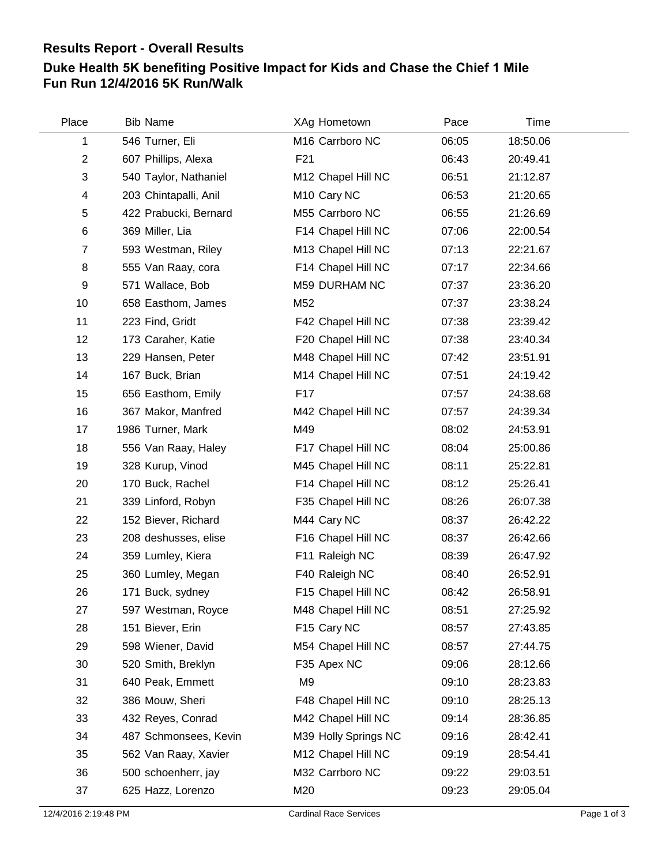## **Results Report - Overall Results**

## **Duke Health 5K benefiting Positive Impact for Kids and Chase the Chief 1 Mile Fun Run 12/4/2016 5K Run/Walk**

| Place          | <b>Bib Name</b>       | XAg Hometown            | Pace  | Time     |
|----------------|-----------------------|-------------------------|-------|----------|
| 1              | 546 Turner, Eli       | M16 Carrboro NC         | 06:05 | 18:50.06 |
| $\mathbf{2}$   | 607 Phillips, Alexa   | F21                     | 06:43 | 20:49.41 |
| $\sqrt{3}$     | 540 Taylor, Nathaniel | M12 Chapel Hill NC      | 06:51 | 21:12.87 |
| 4              | 203 Chintapalli, Anil | M <sub>10</sub> Cary NC | 06:53 | 21:20.65 |
| 5              | 422 Prabucki, Bernard | M55 Carrboro NC         | 06:55 | 21:26.69 |
| $\,6$          | 369 Miller, Lia       | F14 Chapel Hill NC      | 07:06 | 22:00.54 |
| $\overline{7}$ | 593 Westman, Riley    | M13 Chapel Hill NC      | 07:13 | 22:21.67 |
| 8              | 555 Van Raay, cora    | F14 Chapel Hill NC      | 07:17 | 22:34.66 |
| 9              | 571 Wallace, Bob      | M59 DURHAM NC           | 07:37 | 23:36.20 |
| 10             | 658 Easthom, James    | M52                     | 07:37 | 23:38.24 |
| 11             | 223 Find, Gridt       | F42 Chapel Hill NC      | 07:38 | 23:39.42 |
| 12             | 173 Caraher, Katie    | F20 Chapel Hill NC      | 07:38 | 23:40.34 |
| 13             | 229 Hansen, Peter     | M48 Chapel Hill NC      | 07:42 | 23:51.91 |
| 14             | 167 Buck, Brian       | M14 Chapel Hill NC      | 07:51 | 24:19.42 |
| 15             | 656 Easthom, Emily    | F17                     | 07:57 | 24:38.68 |
| 16             | 367 Makor, Manfred    | M42 Chapel Hill NC      | 07:57 | 24:39.34 |
| 17             | 1986 Turner, Mark     | M49                     | 08:02 | 24:53.91 |
| 18             | 556 Van Raay, Haley   | F17 Chapel Hill NC      | 08:04 | 25:00.86 |
| 19             | 328 Kurup, Vinod      | M45 Chapel Hill NC      | 08:11 | 25:22.81 |
| 20             | 170 Buck, Rachel      | F14 Chapel Hill NC      | 08:12 | 25:26.41 |
| 21             | 339 Linford, Robyn    | F35 Chapel Hill NC      | 08:26 | 26:07.38 |
| 22             | 152 Biever, Richard   | M44 Cary NC             | 08:37 | 26:42.22 |
| 23             | 208 deshusses, elise  | F16 Chapel Hill NC      | 08:37 | 26:42.66 |
| 24             | 359 Lumley, Kiera     | F11 Raleigh NC          | 08:39 | 26:47.92 |
| 25             | 360 Lumley, Megan     | F40 Raleigh NC          | 08:40 | 26:52.91 |
| 26             | 171 Buck, sydney      | F15 Chapel Hill NC      | 08:42 | 26:58.91 |
| 27             | 597 Westman, Royce    | M48 Chapel Hill NC      | 08:51 | 27:25.92 |
| 28             | 151 Biever, Erin      | F15 Cary NC             | 08:57 | 27:43.85 |
| 29             | 598 Wiener, David     | M54 Chapel Hill NC      | 08:57 | 27:44.75 |
| 30             | 520 Smith, Breklyn    | F35 Apex NC             | 09:06 | 28:12.66 |
| 31             | 640 Peak, Emmett      | M <sub>9</sub>          | 09:10 | 28:23.83 |
| 32             | 386 Mouw, Sheri       | F48 Chapel Hill NC      | 09:10 | 28:25.13 |
| 33             | 432 Reyes, Conrad     | M42 Chapel Hill NC      | 09:14 | 28:36.85 |
| 34             | 487 Schmonsees, Kevin | M39 Holly Springs NC    | 09:16 | 28:42.41 |
| 35             | 562 Van Raay, Xavier  | M12 Chapel Hill NC      | 09:19 | 28:54.41 |
| 36             | 500 schoenherr, jay   | M32 Carrboro NC         | 09:22 | 29:03.51 |
| 37             | 625 Hazz, Lorenzo     | M20                     | 09:23 | 29:05.04 |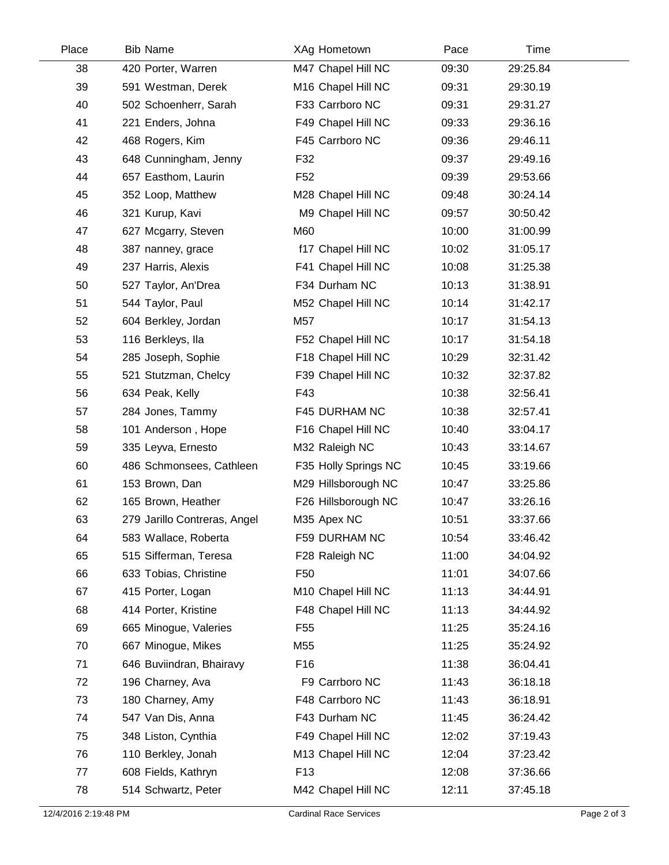| Place | <b>Bib Name</b>              | XAg Hometown         | Pace  | Time     |  |
|-------|------------------------------|----------------------|-------|----------|--|
| 38    | 420 Porter, Warren           | M47 Chapel Hill NC   | 09:30 | 29:25.84 |  |
| 39    | 591 Westman, Derek           | M16 Chapel Hill NC   | 09:31 | 29:30.19 |  |
| 40    | 502 Schoenherr, Sarah        | F33 Carrboro NC      | 09:31 | 29:31.27 |  |
| 41    | 221 Enders, Johna            | F49 Chapel Hill NC   | 09:33 | 29:36.16 |  |
| 42    | 468 Rogers, Kim              | F45 Carrboro NC      | 09:36 | 29:46.11 |  |
| 43    | 648 Cunningham, Jenny        | F32                  | 09:37 | 29:49.16 |  |
| 44    | 657 Easthom, Laurin          | F <sub>52</sub>      | 09:39 | 29:53.66 |  |
| 45    | 352 Loop, Matthew            | M28 Chapel Hill NC   | 09:48 | 30:24.14 |  |
| 46    | 321 Kurup, Kavi              | M9 Chapel Hill NC    | 09:57 | 30:50.42 |  |
| 47    | 627 Mcgarry, Steven          | M60                  | 10:00 | 31:00.99 |  |
| 48    | 387 nanney, grace            | f17 Chapel Hill NC   | 10:02 | 31:05.17 |  |
| 49    | 237 Harris, Alexis           | F41 Chapel Hill NC   | 10:08 | 31:25.38 |  |
| 50    | 527 Taylor, An'Drea          | F34 Durham NC        | 10:13 | 31:38.91 |  |
| 51    | 544 Taylor, Paul             | M52 Chapel Hill NC   | 10:14 | 31:42.17 |  |
| 52    | 604 Berkley, Jordan          | M57                  | 10:17 | 31:54.13 |  |
| 53    | 116 Berkleys, Ila            | F52 Chapel Hill NC   | 10:17 | 31:54.18 |  |
| 54    | 285 Joseph, Sophie           | F18 Chapel Hill NC   | 10:29 | 32:31.42 |  |
| 55    | 521 Stutzman, Chelcy         | F39 Chapel Hill NC   | 10:32 | 32:37.82 |  |
| 56    | 634 Peak, Kelly              | F43                  | 10:38 | 32:56.41 |  |
| 57    | 284 Jones, Tammy             | F45 DURHAM NC        | 10:38 | 32:57.41 |  |
| 58    | 101 Anderson, Hope           | F16 Chapel Hill NC   | 10:40 | 33:04.17 |  |
| 59    | 335 Leyva, Ernesto           | M32 Raleigh NC       | 10:43 | 33:14.67 |  |
| 60    | 486 Schmonsees, Cathleen     | F35 Holly Springs NC | 10:45 | 33:19.66 |  |
| 61    | 153 Brown, Dan               | M29 Hillsborough NC  | 10:47 | 33:25.86 |  |
| 62    | 165 Brown, Heather           | F26 Hillsborough NC  | 10:47 | 33:26.16 |  |
| 63    | 279 Jarillo Contreras, Angel | M35 Apex NC          | 10:51 | 33:37.66 |  |
| 64    | 583 Wallace, Roberta         | F59 DURHAM NC        | 10:54 | 33:46.42 |  |
| 65    | 515 Sifferman, Teresa        | F28 Raleigh NC       | 11:00 | 34:04.92 |  |
| 66    | 633 Tobias, Christine        | F <sub>50</sub>      | 11:01 | 34:07.66 |  |
| 67    | 415 Porter, Logan            | M10 Chapel Hill NC   | 11:13 | 34:44.91 |  |
| 68    | 414 Porter, Kristine         | F48 Chapel Hill NC   | 11:13 | 34:44.92 |  |
| 69    | 665 Minogue, Valeries        | F <sub>55</sub>      | 11:25 | 35:24.16 |  |
| 70    | 667 Minogue, Mikes           | M55                  | 11:25 | 35:24.92 |  |
| 71    | 646 Buviindran, Bhairavy     | F16                  | 11:38 | 36:04.41 |  |
| 72    | 196 Charney, Ava             | F9 Carrboro NC       | 11:43 | 36:18.18 |  |
| 73    | 180 Charney, Amy             | F48 Carrboro NC      | 11:43 | 36:18.91 |  |
| 74    | 547 Van Dis, Anna            | F43 Durham NC        | 11:45 | 36:24.42 |  |
| 75    | 348 Liston, Cynthia          | F49 Chapel Hill NC   | 12:02 | 37:19.43 |  |
| 76    | 110 Berkley, Jonah           | M13 Chapel Hill NC   | 12:04 | 37:23.42 |  |
| 77    | 608 Fields, Kathryn          | F <sub>13</sub>      | 12:08 | 37:36.66 |  |
| 78    | 514 Schwartz, Peter          | M42 Chapel Hill NC   | 12:11 | 37:45.18 |  |